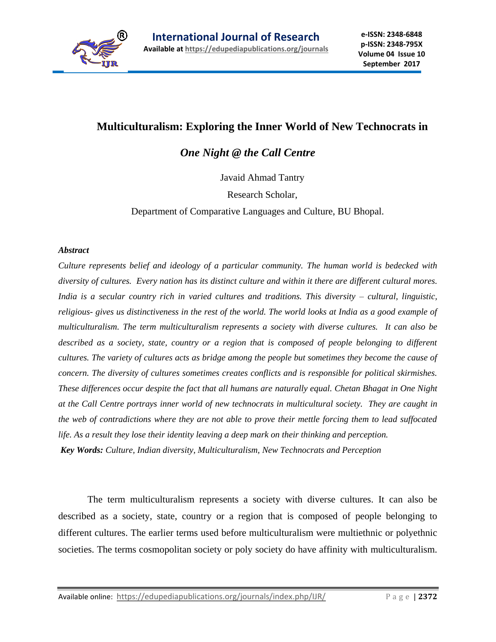

## **Multiculturalism: Exploring the Inner World of New Technocrats in**

*One Night @ the Call Centre*

Javaid Ahmad Tantry

Research Scholar,

Department of Comparative Languages and Culture, BU Bhopal.

## *Abstract*

*Culture represents belief and ideology of a particular community. The human world is bedecked with diversity of cultures. Every nation has its distinct culture and within it there are different cultural mores. India is a secular country rich in varied cultures and traditions. This diversity – cultural, linguistic, religious- gives us distinctiveness in the rest of the world. The world looks at India as a good example of multiculturalism. The term multiculturalism represents a society with diverse cultures. It can also be described as a society, state, country or a region that is composed of people belonging to different cultures. The variety of cultures acts as bridge among the people but sometimes they become the cause of concern. The diversity of cultures sometimes creates conflicts and is responsible for political skirmishes. These differences occur despite the fact that all humans are naturally equal. Chetan Bhagat in One Night at the Call Centre portrays inner world of new technocrats in multicultural society. They are caught in the web of contradictions where they are not able to prove their mettle forcing them to lead suffocated life. As a result they lose their identity leaving a deep mark on their thinking and perception. Key Words: Culture, Indian diversity, Multiculturalism, New Technocrats and Perception*

The term multiculturalism represents a society with diverse cultures. It can also be described as a society, state, country or a region that is composed of people belonging to different cultures. The earlier terms used before multiculturalism were multiethnic or polyethnic societies. The terms cosmopolitan society or poly society do have affinity with multiculturalism.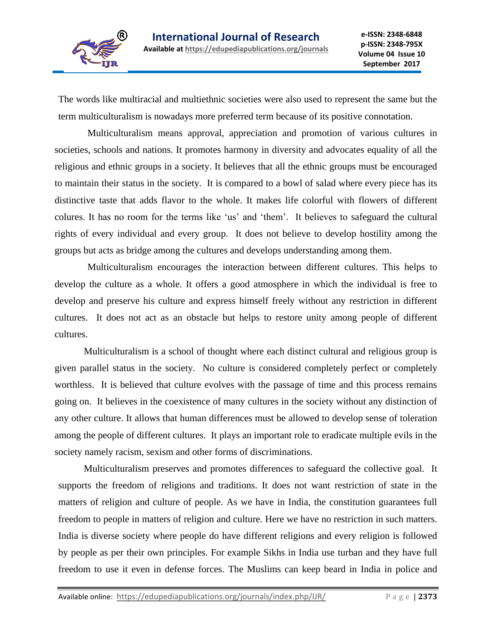

The words like multiracial and multiethnic societies were also used to represent the same but the term multiculturalism is nowadays more preferred term because of its positive connotation.

Multiculturalism means approval, appreciation and promotion of various cultures in societies, schools and nations. It promotes harmony in diversity and advocates equality of all the religious and ethnic groups in a society. It believes that all the ethnic groups must be encouraged to maintain their status in the society. It is compared to a bowl of salad where every piece has its distinctive taste that adds flavor to the whole. It makes life colorful with flowers of different colures. It has no room for the terms like 'us' and 'them'. It believes to safeguard the cultural rights of every individual and every group. It does not believe to develop hostility among the groups but acts as bridge among the cultures and develops understanding among them.

Multiculturalism encourages the interaction between different cultures. This helps to develop the culture as a whole. It offers a good atmosphere in which the individual is free to develop and preserve his culture and express himself freely without any restriction in different cultures. It does not act as an obstacle but helps to restore unity among people of different cultures.

Multiculturalism is a school of thought where each distinct cultural and religious group is given parallel status in the society. No culture is considered completely perfect or completely worthless. It is believed that culture evolves with the passage of time and this process remains going on. It believes in the coexistence of many cultures in the society without any distinction of any other culture. It allows that human differences must be allowed to develop sense of toleration among the people of different cultures. It plays an important role to eradicate multiple evils in the society namely racism, sexism and other forms of discriminations.

Multiculturalism preserves and promotes differences to safeguard the collective goal. It supports the freedom of religions and traditions. It does not want restriction of state in the matters of religion and culture of people. As we have in India, the constitution guarantees full freedom to people in matters of religion and culture. Here we have no restriction in such matters. India is diverse society where people do have different religions and every religion is followed by people as per their own principles. For example Sikhs in India use turban and they have full freedom to use it even in defense forces. The Muslims can keep beard in India in police and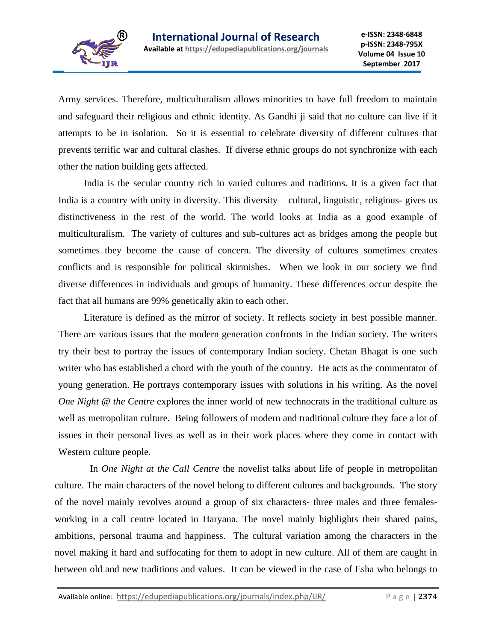

Army services. Therefore, multiculturalism allows minorities to have full freedom to maintain and safeguard their religious and ethnic identity. As Gandhi ji said that no culture can live if it attempts to be in isolation. So it is essential to celebrate diversity of different cultures that prevents terrific war and cultural clashes. If diverse ethnic groups do not synchronize with each other the nation building gets affected.

India is the secular country rich in varied cultures and traditions. It is a given fact that India is a country with unity in diversity. This diversity – cultural, linguistic, religious- gives us distinctiveness in the rest of the world. The world looks at India as a good example of multiculturalism. The variety of cultures and sub-cultures act as bridges among the people but sometimes they become the cause of concern. The diversity of cultures sometimes creates conflicts and is responsible for political skirmishes. When we look in our society we find diverse differences in individuals and groups of humanity. These differences occur despite the fact that all humans are 99% genetically akin to each other.

Literature is defined as the mirror of society. It reflects society in best possible manner. There are various issues that the modern generation confronts in the Indian society. The writers try their best to portray the issues of contemporary Indian society. Chetan Bhagat is one such writer who has established a chord with the youth of the country. He acts as the commentator of young generation. He portrays contemporary issues with solutions in his writing. As the novel *One Night @ the Centre* explores the inner world of new technocrats in the traditional culture as well as metropolitan culture. Being followers of modern and traditional culture they face a lot of issues in their personal lives as well as in their work places where they come in contact with Western culture people.

In *One Night at the Call Centre* the novelist talks about life of people in metropolitan culture. The main characters of the novel belong to different cultures and backgrounds. The story of the novel mainly revolves around a group of six characters- three males and three femalesworking in a call centre located in Haryana. The novel mainly highlights their shared pains, ambitions, personal trauma and happiness. The cultural variation among the characters in the novel making it hard and suffocating for them to adopt in new culture. All of them are caught in between old and new traditions and values. It can be viewed in the case of Esha who belongs to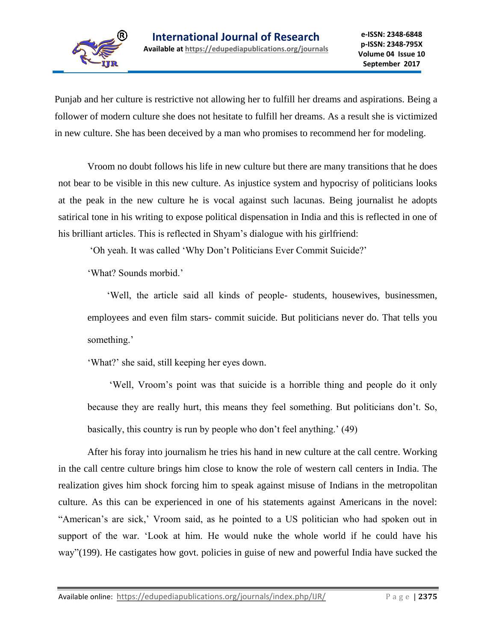

Punjab and her culture is restrictive not allowing her to fulfill her dreams and aspirations. Being a follower of modern culture she does not hesitate to fulfill her dreams. As a result she is victimized in new culture. She has been deceived by a man who promises to recommend her for modeling.

Vroom no doubt follows his life in new culture but there are many transitions that he does not bear to be visible in this new culture. As injustice system and hypocrisy of politicians looks at the peak in the new culture he is vocal against such lacunas. Being journalist he adopts satirical tone in his writing to expose political dispensation in India and this is reflected in one of his brilliant articles. This is reflected in Shyam's dialogue with his girlfriend:

'Oh yeah. It was called 'Why Don't Politicians Ever Commit Suicide?'

'What? Sounds morbid.'

 'Well, the article said all kinds of people- students, housewives, businessmen, employees and even film stars- commit suicide. But politicians never do. That tells you something.'

'What?' she said, still keeping her eyes down.

 'Well, Vroom's point was that suicide is a horrible thing and people do it only because they are really hurt, this means they feel something. But politicians don't. So, basically, this country is run by people who don't feel anything.' (49)

After his foray into journalism he tries his hand in new culture at the call centre. Working in the call centre culture brings him close to know the role of western call centers in India. The realization gives him shock forcing him to speak against misuse of Indians in the metropolitan culture. As this can be experienced in one of his statements against Americans in the novel: "American's are sick,' Vroom said, as he pointed to a US politician who had spoken out in support of the war. 'Look at him. He would nuke the whole world if he could have his way"(199). He castigates how govt. policies in guise of new and powerful India have sucked the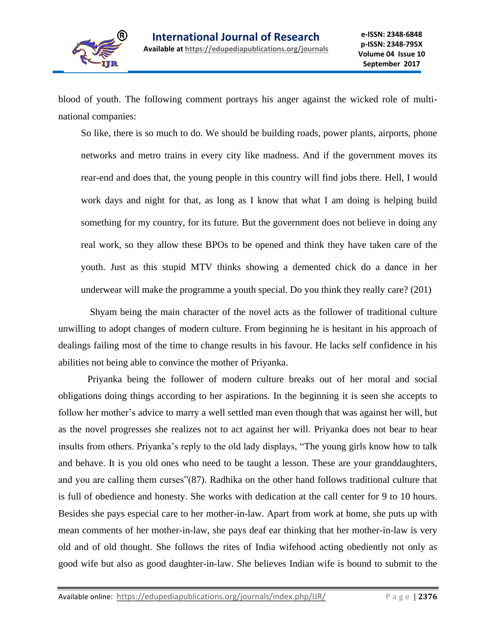

blood of youth. The following comment portrays his anger against the wicked role of multinational companies:

So like, there is so much to do. We should be building roads, power plants, airports, phone networks and metro trains in every city like madness. And if the government moves its rear-end and does that, the young people in this country will find jobs there. Hell, I would work days and night for that, as long as I know that what I am doing is helping build something for my country, for its future. But the government does not believe in doing any real work, so they allow these BPOs to be opened and think they have taken care of the youth. Just as this stupid MTV thinks showing a demented chick do a dance in her underwear will make the programme a youth special. Do you think they really care? (201)

Shyam being the main character of the novel acts as the follower of traditional culture unwilling to adopt changes of modern culture. From beginning he is hesitant in his approach of dealings failing most of the time to change results in his favour. He lacks self confidence in his abilities not being able to convince the mother of Priyanka.

Priyanka being the follower of modern culture breaks out of her moral and social obligations doing things according to her aspirations. In the beginning it is seen she accepts to follow her mother's advice to marry a well settled man even though that was against her will, but as the novel progresses she realizes not to act against her will. Priyanka does not bear to hear insults from others. Priyanka's reply to the old lady displays, "The young girls know how to talk and behave. It is you old ones who need to be taught a lesson. These are your granddaughters, and you are calling them curses"(87). Radhika on the other hand follows traditional culture that is full of obedience and honesty. She works with dedication at the call center for 9 to 10 hours. Besides she pays especial care to her mother-in-law. Apart from work at home, she puts up with mean comments of her mother-in-law, she pays deaf ear thinking that her mother-in-law is very old and of old thought. She follows the rites of India wifehood acting obediently not only as good wife but also as good daughter-in-law. She believes Indian wife is bound to submit to the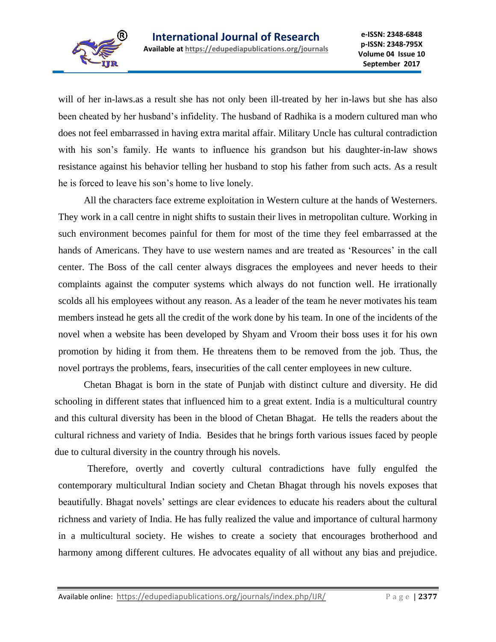

will of her in-laws.as a result she has not only been ill-treated by her in-laws but she has also been cheated by her husband's infidelity. The husband of Radhika is a modern cultured man who does not feel embarrassed in having extra marital affair. Military Uncle has cultural contradiction with his son's family. He wants to influence his grandson but his daughter-in-law shows resistance against his behavior telling her husband to stop his father from such acts. As a result he is forced to leave his son's home to live lonely.

All the characters face extreme exploitation in Western culture at the hands of Westerners. They work in a call centre in night shifts to sustain their lives in metropolitan culture. Working in such environment becomes painful for them for most of the time they feel embarrassed at the hands of Americans. They have to use western names and are treated as 'Resources' in the call center. The Boss of the call center always disgraces the employees and never heeds to their complaints against the computer systems which always do not function well. He irrationally scolds all his employees without any reason. As a leader of the team he never motivates his team members instead he gets all the credit of the work done by his team. In one of the incidents of the novel when a website has been developed by Shyam and Vroom their boss uses it for his own promotion by hiding it from them. He threatens them to be removed from the job. Thus, the novel portrays the problems, fears, insecurities of the call center employees in new culture.

Chetan Bhagat is born in the state of Punjab with distinct culture and diversity. He did schooling in different states that influenced him to a great extent. India is a multicultural country and this cultural diversity has been in the blood of Chetan Bhagat. He tells the readers about the cultural richness and variety of India. Besides that he brings forth various issues faced by people due to cultural diversity in the country through his novels.

Therefore, overtly and covertly cultural contradictions have fully engulfed the contemporary multicultural Indian society and Chetan Bhagat through his novels exposes that beautifully. Bhagat novels' settings are clear evidences to educate his readers about the cultural richness and variety of India. He has fully realized the value and importance of cultural harmony in a multicultural society. He wishes to create a society that encourages brotherhood and harmony among different cultures. He advocates equality of all without any bias and prejudice.